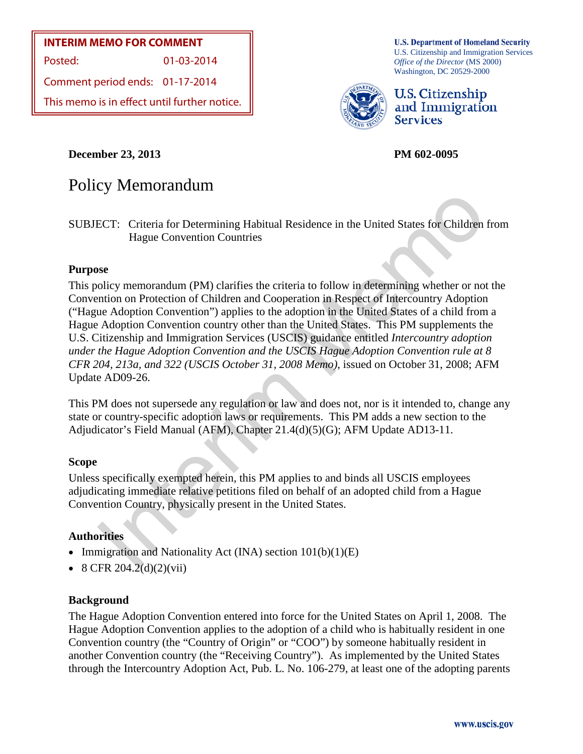#### **INTERIM MEMO FOR COMMENT**

Posted: 01-03-2014

Comment period ends: 01-17-2014

This memo is in effect until further notice.

**U.S. Department of Homeland Security** U.S. Citizenship and Immigration Services *Office of the Director* (MS 2000) Washington, DC 20529-2000



U.S. Citizenship and Immigration **Services** 

**December 23, 2013 PM 602-0095** 

# Policy Memorandum

SUBJECT: Criteria for Determining Habitual Residence in the United States for Children from Hague Convention Countries

#### **Purpose**

Interim Memo This policy memorandum (PM) clarifies the criteria to follow in determining whether or not the Convention on Protection of Children and Cooperation in Respect of Intercountry Adoption ("Hague Adoption Convention") applies to the adoption in the United States of a child from a Hague Adoption Convention country other than the United States. This PM supplements the U.S. Citizenship and Immigration Services (USCIS) guidance entitled *Intercountry adoption under the Hague Adoption Convention and the USCIS Hague Adoption Convention rule at 8 CFR 204, 213a, and 322 (USCIS October 31, 2008 Memo)*, issued on October 31, 2008; AFM Update AD09-26.

This PM does not supersede any regulation or law and does not, nor is it intended to, change any state or country-specific adoption laws or requirements. This PM adds a new section to the Adjudicator's Field Manual (AFM), Chapter 21.4(d)(5)(G); AFM Update AD13-11.

#### **Scope**

Unless specifically exempted herein, this PM applies to and binds all USCIS employees adjudicating immediate relative petitions filed on behalf of an adopted child from a Hague Convention Country, physically present in the United States.

#### **Authorities**

- Immigration and Nationality Act (INA) section  $101(b)(1)(E)$
- 8 CFR 204.2(d)(2)(vii)

#### **Background**

The Hague Adoption Convention entered into force for the United States on April 1, 2008. The Hague Adoption Convention applies to the adoption of a child who is habitually resident in one Convention country (the "Country of Origin" or "COO") by someone habitually resident in another Convention country (the "Receiving Country"). As implemented by the United States through the Intercountry Adoption Act, Pub. L. No. 106-279, at least one of the adopting parents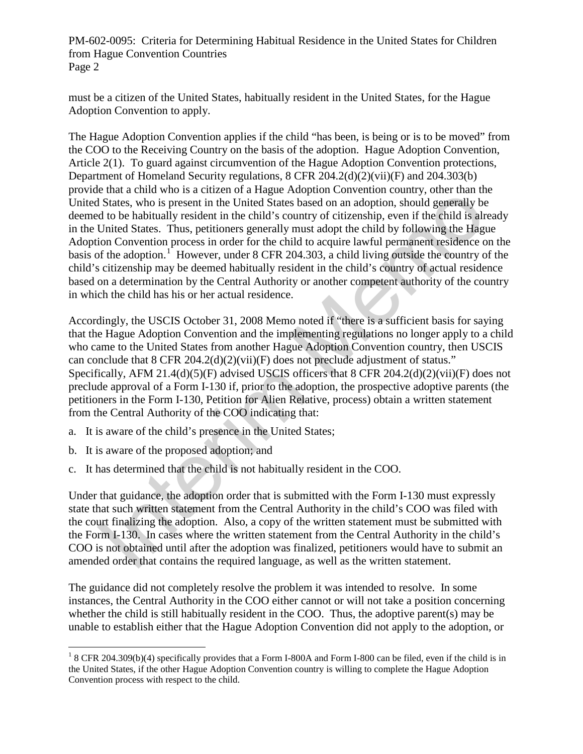must be a citizen of the United States, habitually resident in the United States, for the Hague Adoption Convention to apply.

Cually resident on the Cualcy conduction and the control of the Cual and Cual Slates, who is present in the United Slates based on an adoption, should generally be do be habitually resident in the United Slates based on a The Hague Adoption Convention applies if the child "has been, is being or is to be moved" from the COO to the Receiving Country on the basis of the adoption. Hague Adoption Convention, Article 2(1). To guard against circumvention of the Hague Adoption Convention protections, Department of Homeland Security regulations, 8 CFR 204.2(d)(2)(vii)(F) and 204.303(b) provide that a child who is a citizen of a Hague Adoption Convention country, other than the United States, who is present in the United States based on an adoption, should generally be deemed to be habitually resident in the child's country of citizenship, even if the child is already in the United States. Thus, petitioners generally must adopt the child by following the Hague Adoption Convention process in order for the child to acquire lawful permanent residence on the basis of the adoption.<sup>1</sup> However, under 8 CFR 204.303, a child living outside the country of the child's citizenship may be deemed habitually resident in the child's country of actual residence based on a determination by the Central Authority or another competent authority of the country in which the child has his or her actual residence.

Accordingly, the USCIS October 31, 2008 Memo noted if "there is a sufficient basis for saying that the Hague Adoption Convention and the implementing regulations no longer apply to a child who came to the United States from another Hague Adoption Convention country, then USCIS can conclude that  $8$  CFR 204.2(d)(2)(vii)(F) does not preclude adjustment of status." Specifically, AFM 21.4(d)(5)(F) advised USCIS officers that 8 CFR 204.2(d)(2)(vii)(F) does not preclude approval of a Form I-130 if, prior to the adoption, the prospective adoptive parents (the petitioners in the Form I-130, Petition for Alien Relative, process) obtain a written statement from the Central Authority of the COO indicating that:

- a. It is aware of the child's presence in the United States;
- b. It is aware of the proposed adoption; and
- c. It has determined that the child is not habitually resident in the COO.

Under that guidance, the adoption order that is submitted with the Form I-130 must expressly state that such written statement from the Central Authority in the child's COO was filed with the court finalizing the adoption. Also, a copy of the written statement must be submitted with the Form I-130. In cases where the written statement from the Central Authority in the child's COO is not obtained until after the adoption was finalized, petitioners would have to submit an amended order that contains the required language, as well as the written statement.

The guidance did not completely resolve the problem it was intended to resolve. In some instances, the Central Authority in the COO either cannot or will not take a position concerning whether the child is still habitually resident in the COO. Thus, the adoptive parent(s) may be unable to establish either that the Hague Adoption Convention did not apply to the adoption, or

<span id="page-1-0"></span> $\overline{a}$ <sup>1</sup> 8 CFR 204.309(b)(4) specifically provides that a Form I-800A and Form I-800 can be filed, even if the child is in the United States, if the other Hague Adoption Convention country is willing to complete the Hague Adoption Convention process with respect to the child.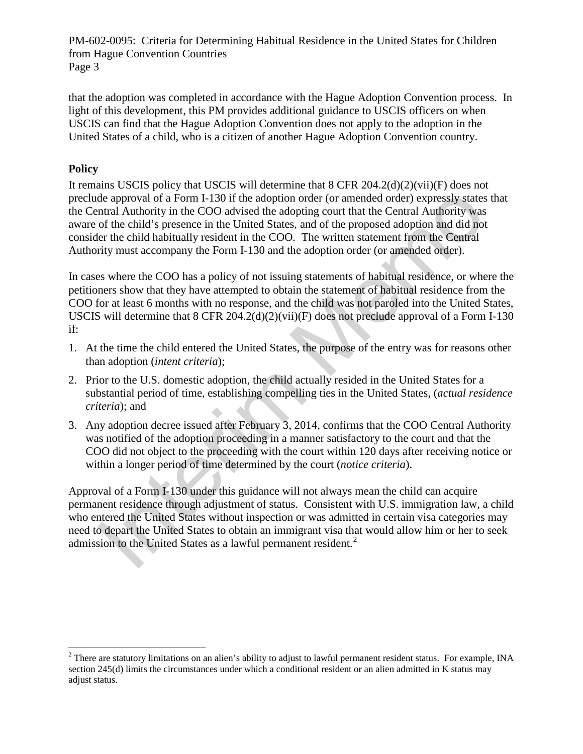that the adoption was completed in accordance with the Hague Adoption Convention process. In light of this development, this PM provides additional guidance to USCIS officers on when USCIS can find that the Hague Adoption Convention does not apply to the adoption in the United States of a child, who is a citizen of another Hague Adoption Convention country.

#### **Policy**

 $\overline{a}$ 

de approval of a Form I-130 if the adoption order (or amended order) expressly states<br>ntral Authority in the COO advised the adopting court that the Central Authority was<br>of the child's presence in the United States, and It remains USCIS policy that USCIS will determine that 8 CFR 204.2(d)(2)(vii)(F) does not preclude approval of a Form I-130 if the adoption order (or amended order) expressly states that the Central Authority in the COO advised the adopting court that the Central Authority was aware of the child's presence in the United States, and of the proposed adoption and did not consider the child habitually resident in the COO. The written statement from the Central Authority must accompany the Form I-130 and the adoption order (or amended order).

In cases where the COO has a policy of not issuing statements of habitual residence, or where the petitioners show that they have attempted to obtain the statement of habitual residence from the COO for at least 6 months with no response, and the child was not paroled into the United States, USCIS will determine that 8 CFR 204.2(d)(2)(vii)(F) does not preclude approval of a Form I-130 if:

- 1. At the time the child entered the United States, the purpose of the entry was for reasons other than adoption (*intent criteria*);
- 2. Prior to the U.S. domestic adoption, the child actually resided in the United States for a substantial period of time, establishing compelling ties in the United States, (*actual residence criteria*); and
- 3. Any adoption decree issued after February 3, 2014, confirms that the COO Central Authority was notified of the adoption proceeding in a manner satisfactory to the court and that the COO did not object to the proceeding with the court within 120 days after receiving notice or within a longer period of time determined by the court (*notice criteria*).

Approval of a Form I-130 under this guidance will not always mean the child can acquire permanent residence through adjustment of status. Consistent with U.S. immigration law, a child who entered the United States without inspection or was admitted in certain visa categories may need to depart the United States to obtain an immigrant visa that would allow him or her to seek admission to the United States as a lawful permanent resident.<sup>2</sup>

<span id="page-2-0"></span> $<sup>2</sup>$  There are statutory limitations on an alien's ability to adjust to lawful permanent resident status. For example, INA</sup> section 245(d) limits the circumstances under which a conditional resident or an alien admitted in K status may adjust status.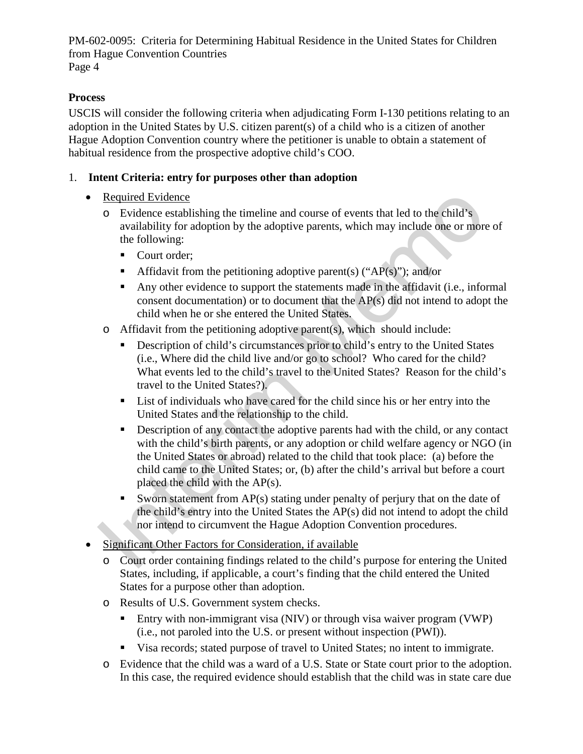#### **Process**

USCIS will consider the following criteria when adjudicating Form I-130 petitions relating to an adoption in the United States by U.S. citizen parent(s) of a child who is a citizen of another Hague Adoption Convention country where the petitioner is unable to obtain a statement of habitual residence from the prospective adoptive child's COO.

### 1. **Intent Criteria: entry for purposes other than adoption**

- Required Evidence
	- o Evidence establishing the timeline and course of events that led to the child's availability for adoption by the adoptive parents, which may include one or more of the following:
		- Court order;
		- Affidavit from the petitioning adoptive parent(s) ("AP(s)"); and/or
		- Any other evidence to support the statements made in the affidavit (i.e., informal consent documentation) or to document that the AP(s) did not intend to adopt the child when he or she entered the United States.
	- o Affidavit from the petitioning adoptive parent(s), which should include:
		- **Description of child's circumstances prior to child's entry to the United States** (i.e., Where did the child live and/or go to school? Who cared for the child? What events led to the child's travel to the United States? Reason for the child's travel to the United States?).
		- List of individuals who have cared for the child since his or her entry into the United States and the relationship to the child.
	- Required Evidence<br>
	Tevidence<br>
	Tevidence extabilishing the timeline and course of events that led to the child's<br>
	availability for adoption by the adoptive parents, which may include one or more<br>
	the following:<br>
	Court orde Description of any contact the adoptive parents had with the child, or any contact with the child's birth parents, or any adoption or child welfare agency or NGO (in the United States or abroad) related to the child that took place: (a) before the child came to the United States; or, (b) after the child's arrival but before a court placed the child with the AP(s).
		- Sworn statement from  $AP(s)$  stating under penalty of perjury that on the date of the child's entry into the United States the AP(s) did not intend to adopt the child nor intend to circumvent the Hague Adoption Convention procedures.
- Significant Other Factors for Consideration, if available
	- o Court order containing findings related to the child's purpose for entering the United States, including, if applicable, a court's finding that the child entered the United States for a purpose other than adoption.
	- o Results of U.S. Government system checks.
		- **Entry with non-immigrant visa (NIV) or through visa waiver program (VWP)** (i.e., not paroled into the U.S. or present without inspection (PWI)).
		- Visa records; stated purpose of travel to United States; no intent to immigrate.
	- o Evidence that the child was a ward of a U.S. State or State court prior to the adoption. In this case, the required evidence should establish that the child was in state care due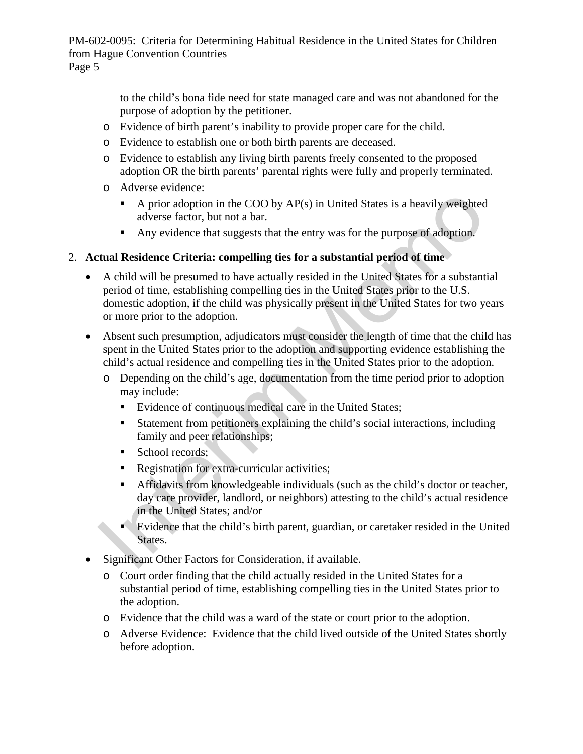> to the child's bona fide need for state managed care and was not abandoned for the purpose of adoption by the petitioner.

- o Evidence of birth parent's inability to provide proper care for the child.
- o Evidence to establish one or both birth parents are deceased.
- o Evidence to establish any living birth parents freely consented to the proposed adoption OR the birth parents' parental rights were fully and properly terminated.
- o Adverse evidence:
	- A prior adoption in the COO by  $AP(s)$  in United States is a heavily weighted adverse factor, but not a bar.
	- Any evidence that suggests that the entry was for the purpose of adoption.

#### 2. **Actual Residence Criteria: compelling ties for a substantial period of time**

- A prior adoption in the COO by AP(s) in United States is a heavily weighted<br>
 A prior adoption in the COO by AP(s) in United States is a heavily weighted<br>
 Any evidence that suggests that the entry was for the purpose • A child will be presumed to have actually resided in the United States for a substantial period of time, establishing compelling ties in the United States prior to the U.S. domestic adoption, if the child was physically present in the United States for two years or more prior to the adoption.
- Absent such presumption, adjudicators must consider the length of time that the child has spent in the United States prior to the adoption and supporting evidence establishing the child's actual residence and compelling ties in the United States prior to the adoption.
	- o Depending on the child's age, documentation from the time period prior to adoption may include:
		- Evidence of continuous medical care in the United States;
		- Statement from petitioners explaining the child's social interactions, including family and peer relationships;
		- School records;
		- Registration for extra-curricular activities;
		- Affidavits from knowledgeable individuals (such as the child's doctor or teacher, day care provider, landlord, or neighbors) attesting to the child's actual residence in the United States; and/or
		- Evidence that the child's birth parent, guardian, or caretaker resided in the United States.
- Significant Other Factors for Consideration, if available.
	- o Court order finding that the child actually resided in the United States for a substantial period of time, establishing compelling ties in the United States prior to the adoption.
	- o Evidence that the child was a ward of the state or court prior to the adoption.
	- o Adverse Evidence: Evidence that the child lived outside of the United States shortly before adoption.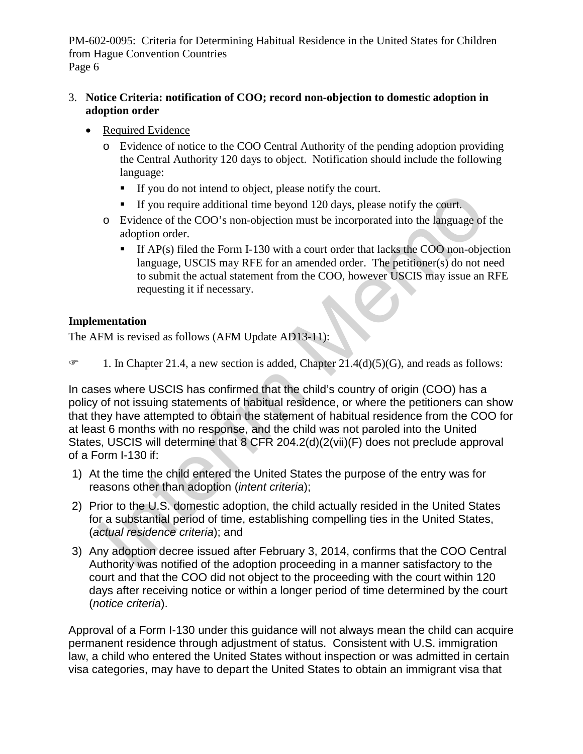#### 3. **Notice Criteria: notification of COO; record non-objection to domestic adoption in adoption order**

- Required Evidence
	- o Evidence of notice to the COO Central Authority of the pending adoption providing the Central Authority 120 days to object. Notification should include the following language:
		- If you do not intend to object, please notify the court.
		- If you require additional time beyond 120 days, please notify the court.
	- o Evidence of the COO's non-objection must be incorporated into the language of the adoption order.
		- If  $AP(s)$  filed the Form I-130 with a court order that lacks the COO non-objection language, USCIS may RFE for an amended order. The petitioner(s) do not need to submit the actual statement from the COO, however USCIS may issue an RFE requesting it if necessary.

#### **Implementation**

The AFM is revised as follows (AFM Update AD13-11):

 $\mathcal{F}$  1. In Chapter 21.4, a new section is added, Chapter 21.4(d)(5)(G), and reads as follows:

If you require additional time byond 120 days, please notify the court.<br>
If you require additional time beyond 120 days, please notify the court.<br>
• If you require additional dime beyond 120 days, please notify the court. In cases where USCIS has confirmed that the child's country of origin (COO) has a policy of not issuing statements of habitual residence, or where the petitioners can show that they have attempted to obtain the statement of habitual residence from the COO for at least 6 months with no response, and the child was not paroled into the United States, USCIS will determine that 8 CFR 204.2(d)(2(vii)(F) does not preclude approval of a Form I-130 if:

- 1) At the time the child entered the United States the purpose of the entry was for reasons other than adoption (*intent criteria*);
- 2) Prior to the U.S. domestic adoption, the child actually resided in the United States for a substantial period of time, establishing compelling ties in the United States, (*actual residence criteria*); and
- 3) Any adoption decree issued after February 3, 2014, confirms that the COO Central Authority was notified of the adoption proceeding in a manner satisfactory to the court and that the COO did not object to the proceeding with the court within 120 days after receiving notice or within a longer period of time determined by the court (*notice criteria*).

Approval of a Form I-130 under this guidance will not always mean the child can acquire permanent residence through adjustment of status. Consistent with U.S. immigration law, a child who entered the United States without inspection or was admitted in certain visa categories, may have to depart the United States to obtain an immigrant visa that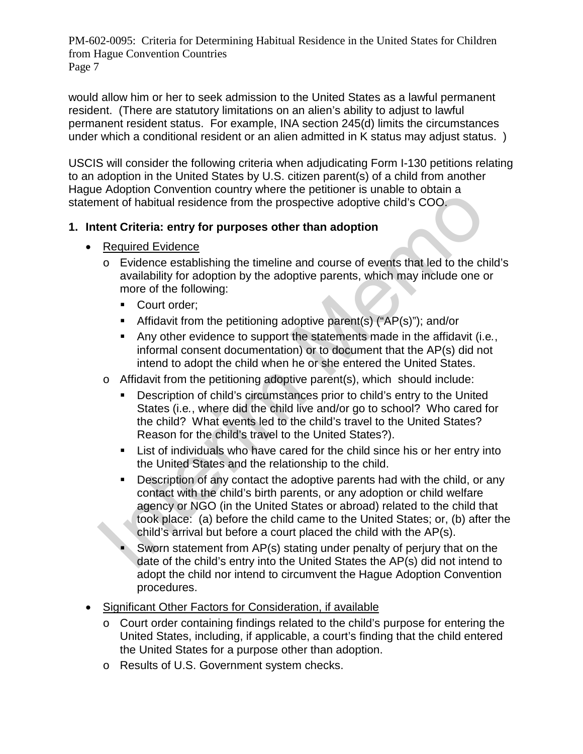would allow him or her to seek admission to the United States as a lawful permanent resident. (There are statutory limitations on an alien's ability to adjust to lawful permanent resident status. For example, INA section 245(d) limits the circumstances under which a conditional resident or an alien admitted in K status may adjust status. )

USCIS will consider the following criteria when adjudicating Form I-130 petitions relating to an adoption in the United States by U.S. citizen parent(s) of a child from another Hague Adoption Convention country where the petitioner is unable to obtain a statement of habitual residence from the prospective adoptive child's COO.

### **1. Intent Criteria: entry for purposes other than adoption**

- Required Evidence
	- o Evidence establishing the timeline and course of events that led to the child's availability for adoption by the adoptive parents, which may include one or more of the following:
		- Court order;
		- Affidavit from the petitioning adoptive parent(s) ("AP(s)"); and/or
		- Any other evidence to support the statements made in the affidavit (i.e*.*, informal consent documentation) or to document that the AP(s) did not intend to adopt the child when he or she entered the United States.
	- o Affidavit from the petitioning adoptive parent(s), which should include:
		- Description of child's circumstances prior to child's entry to the United States (i.e*.*, where did the child live and/or go to school? Who cared for the child? What events led to the child's travel to the United States? Reason for the child's travel to the United States?).
		- List of individuals who have cared for the child since his or her entry into the United States and the relationship to the child.
- Numerion to the substitute of the summary of the primate of habitual residence from the prospective adoptive child's COO.<br> **Example 10** Evidence establishing the timeline and course of events that led to the change of the **Description of any contact the adoptive parents had with the child, or any** contact with the child's birth parents, or any adoption or child welfare agency or NGO (in the United States or abroad) related to the child that took place: (a) before the child came to the United States; or, (b) after the child's arrival but before a court placed the child with the AP(s).
	- Sworn statement from AP(s) stating under penalty of perjury that on the date of the child's entry into the United States the AP(s) did not intend to adopt the child nor intend to circumvent the Hague Adoption Convention procedures.
- Significant Other Factors for Consideration, if available
	- o Court order containing findings related to the child's purpose for entering the United States, including, if applicable, a court's finding that the child entered the United States for a purpose other than adoption.
	- o Results of U.S. Government system checks.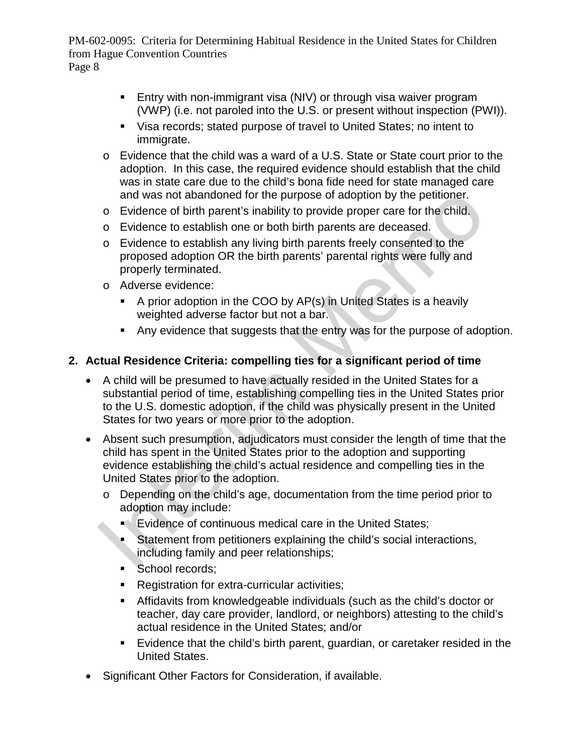- **Entry with non-immigrant visa (NIV) or through visa waiver program** (VWP) (i.e. not paroled into the U.S. or present without inspection (PWI)).
- Visa records; stated purpose of travel to United States; no intent to immigrate.
- o Evidence that the child was a ward of a U.S. State or State court prior to the adoption. In this case, the required evidence should establish that the child was in state care due to the child's bona fide need for state managed care and was not abandoned for the purpose of adoption by the petitioner.
- o Evidence of birth parent's inability to provide proper care for the child.
- o Evidence to establish one or both birth parents are deceased.
- o Evidence to establish any living birth parents freely consented to the proposed adoption OR the birth parents' parental rights were fully and properly terminated.
- o Adverse evidence:
	- A prior adoption in the COO by AP(s) in United States is a heavily weighted adverse factor but not a bar.
	- Any evidence that suggests that the entry was for the purpose of adoption.

# **2. Actual Residence Criteria: compelling ties for a significant period of time**

- and was not abandoned for the purpose of adoption by the petitioner.<br>
 Evidence to establish one or both birth parents are deceased.<br>
 Evidence to establish any living birth parents are deceased.<br>
 Evidence to establish • A child will be presumed to have actually resided in the United States for a substantial period of time, establishing compelling ties in the United States prior to the U.S. domestic adoption, if the child was physically present in the United States for two years or more prior to the adoption.
- Absent such presumption, adjudicators must consider the length of time that the child has spent in the United States prior to the adoption and supporting evidence establishing the child's actual residence and compelling ties in the United States prior to the adoption.
	- o Depending on the child's age, documentation from the time period prior to adoption may include:
		- Evidence of continuous medical care in the United States;
		- Statement from petitioners explaining the child's social interactions, including family and peer relationships;
		- School records:
		- **Registration for extra-curricular activities;**
		- Affidavits from knowledgeable individuals (such as the child's doctor or teacher, day care provider, landlord, or neighbors) attesting to the child's actual residence in the United States; and/or
		- Evidence that the child's birth parent, guardian, or caretaker resided in the United States.
- Significant Other Factors for Consideration, if available.